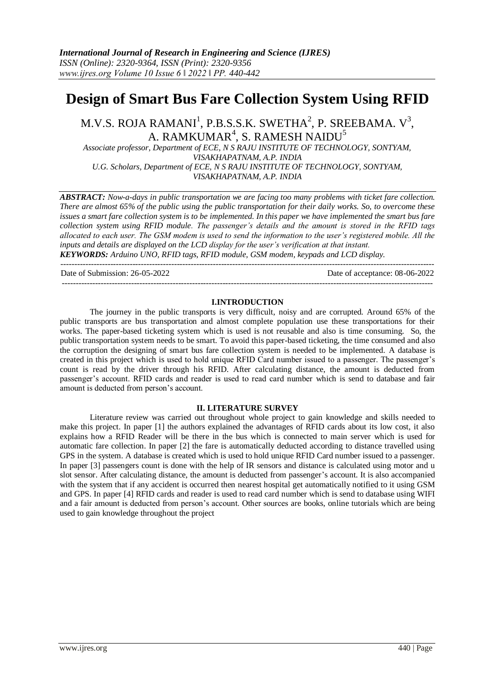# **Design of Smart Bus Fare Collection System Using RFID**

M.V.S. ROJA RAMANI $^1$ , P.B.S.S.K. SWETHA $^2$ , P. SREEBAMA. V $^3$ , A. RAMKUMAR $^4$ , S. RAMESH NAIDU $^5$ 

*Associate professor, Department of ECE, N S RAJU INSTITUTE OF TECHNOLOGY, SONTYAM, VISAKHAPATNAM, A.P. INDIA U.G. Scholars, Department of ECE, N S RAJU INSTITUTE OF TECHNOLOGY, SONTYAM, VISAKHAPATNAM, A.P. INDIA* 

*ABSTRACT: Now-a-days in public transportation we are facing too many problems with ticket fare collection. There are almost 65% of the public using the public transportation for their daily works. So, to overcome these issues a smart fare collection system is to be implemented. In this paper we have implemented the smart bus fare collection system using RFID module. The passenger's details and the amount is stored in the RFID tags allocated to each user. The GSM modem is used to send the information to the user's registered mobile. All the inputs and details are displayed on the LCD display for the user's verification at that instant. KEYWORDS: Arduino UNO, RFID tags, RFID module, GSM modem, keypads and LCD display.* 

---------------------------------------------------------------------------------------------------------------------------------------

Date of Submission: 26-05-2022 Date of acceptance: 08-06-2022 --------------------------------------------------------------------------------------------------------------------------------------

### **I.INTRODUCTION**

The journey in the public transports is very difficult, noisy and are corrupted. Around 65% of the public transports are bus transportation and almost complete population use these transportations for their works. The paper-based ticketing system which is used is not reusable and also is time consuming. So, the public transportation system needs to be smart. To avoid this paper-based ticketing, the time consumed and also the corruption the designing of smart bus fare collection system is needed to be implemented. A database is created in this project which is used to hold unique RFID Card number issued to a passenger. The passenger's count is read by the driver through his RFID. After calculating distance, the amount is deducted from passenger's account. RFID cards and reader is used to read card number which is send to database and fair amount is deducted from person's account.

# **II. LITERATURE SURVEY**

Literature review was carried out throughout whole project to gain knowledge and skills needed to make this project. In paper [1] the authors explained the advantages of RFID cards about its low cost, it also explains how a RFID Reader will be there in the bus which is connected to main server which is used for automatic fare collection. In paper [2] the fare is automatically deducted according to distance travelled using GPS in the system. A database is created which is used to hold unique RFID Card number issued to a passenger. In paper [3] passengers count is done with the help of IR sensors and distance is calculated using motor and u slot sensor. After calculating distance, the amount is deducted from passenger's account. It is also accompanied with the system that if any accident is occurred then nearest hospital get automatically notified to it using GSM and GPS. In paper [4] RFID cards and reader is used to read card number which is send to database using WIFI and a fair amount is deducted from person's account. Other sources are books, online tutorials which are being used to gain knowledge throughout the project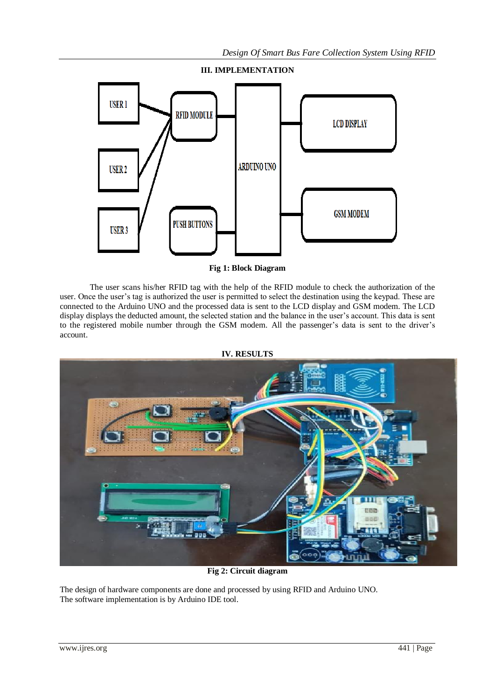

**Fig 1: Block Diagram**

The user scans his/her RFID tag with the help of the RFID module to check the authorization of the user. Once the user's tag is authorized the user is permitted to select the destination using the keypad. These are connected to the Arduino UNO and the processed data is sent to the LCD display and GSM modem. The LCD display displays the deducted amount, the selected station and the balance in the user's account. This data is sent to the registered mobile number through the GSM modem. All the passenger's data is sent to the driver's account.



**Fig 2: Circuit diagram**

The design of hardware components are done and processed by using RFID and Arduino UNO. The software implementation is by Arduino IDE tool.